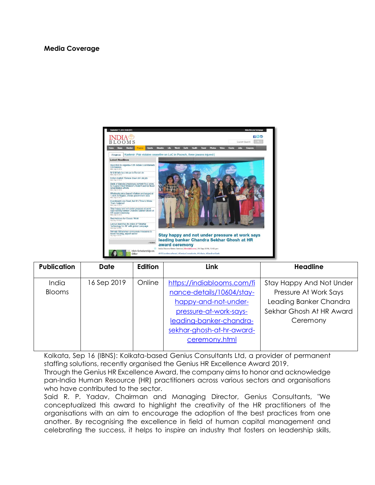## **Media Coverage**



| <b>Publication</b> | <b>Date</b> | <b>Edition</b> | <b>Link</b>                | <b>Headline</b>                 |
|--------------------|-------------|----------------|----------------------------|---------------------------------|
| India              | 16 Sep 2019 | Online         | https://indiablooms.com/fi | <b>Stay Happy And Not Under</b> |
| <b>Blooms</b>      |             |                | nance-details/10604/stay-  | Pressure At Work Says           |
|                    |             |                | happy-and-not-under-       | Leading Banker Chandra          |
|                    |             |                | pressure-at-work-says-     | Sekhar Ghosh At HR Award        |
|                    |             |                | leading-banker-chandra-    | Ceremony                        |
|                    |             |                | sekhar-ghosh-at-hr-award-  |                                 |
|                    |             |                | ceremony.html              |                                 |
|                    |             |                |                            |                                 |

Kolkata, Sep 16 (IBNS): Kolkata-based Genius Consultants Ltd, a provider of permanent staffing solutions, recently organised the Genius HR Excellence Award 2019.

Through the Genius HR Excellence Award, the company aims to honor and acknowledge pan-India Human Resource (HR) practitioners across various sectors and organisations who have contributed to the sector.

Said R. P. Yadav, Chairman and Managing Director, Genius Consultants, "We conceptualized this award to highlight the creativity of the HR practitioners of the organisations with an aim to encourage the adoption of the best practices from one another. By recognising the excellence in field of human capital management and celebrating the success, it helps to inspire an industry that fosters on leadership skills,